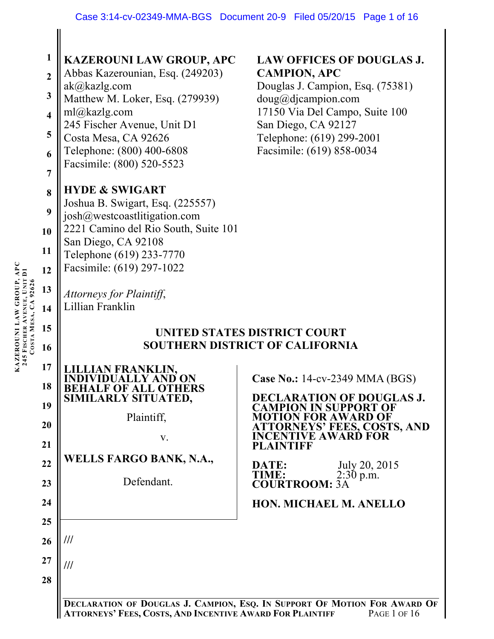| APC<br>KAZEROUNI LAW GROUP, AI<br>245 FISCHER AVENUE, UNIT DI<br>92626<br>COSTA MESA, | 1<br>$\overline{2}$<br>$\mathbf{3}$<br>$\overline{\mathbf{4}}$<br>5<br>6<br>$\overline{7}$<br>8<br>9<br>10<br>11<br>12<br>13<br>14<br>15<br>16<br>17<br>18<br>19<br>20<br>21<br>22<br>23<br>24<br>25<br>26<br>27<br>28 | <b>KAZEROUNI LAW GROUP, APC</b><br><b>LAW OFFICES OF DOUGLAS J.</b><br>Abbas Kazerounian, Esq. (249203)<br><b>CAMPION, APC</b><br>ak@kazlg.com<br>Douglas J. Campion, Esq. (75381)<br>Matthew M. Loker, Esq. (279939)<br>doug@djaampion.com<br>17150 Via Del Campo, Suite 100<br>ml@kazlg.com<br>245 Fischer Avenue, Unit D1<br>San Diego, CA 92127<br>Costa Mesa, CA 92626<br>Telephone: (619) 299-2001<br>Facsimile: (619) 858-0034<br>Telephone: (800) 400-6808<br>Facsimile: (800) 520-5523<br><b>HYDE &amp; SWIGART</b><br>Joshua B. Swigart, Esq. (225557)<br>josh@westcoastlitigation.com<br>2221 Camino del Rio South, Suite 101<br>San Diego, CA 92108<br>Telephone (619) 233-7770<br>Facsimile: (619) 297-1022<br>Attorneys for Plaintiff,<br>Lillian Franklin<br>UNITED STATES DISTRICT COURT<br><b>SOUTHERN DISTRICT OF CALIFORNIA</b><br><b>N FRANKLIN.</b><br>Case No.: 14-cv-2349 MMA (BGS)<br><b>BEHALF OF ALL OTHERS</b><br>SIMILARLY SITUATED,<br><b>DECLARATION OF DOUGLAS J.</b><br><b>CAMPION IN SUPPORT OF</b><br>Plaintiff,<br><b>MOTION FOR AWARD OF</b><br><b>ATTORNEYS' FEES, COSTS, AND</b><br><b>INCENTIVE AWARD FOR</b><br>V.<br><b>PLAINTIFF</b><br><b>WELLS FARGO BANK, N.A.,</b><br>July 20, 2015<br>DATE:<br>TIME:<br>$2:30$ p.m.<br>Defendant.<br><b>COURTROOM: 3A</b><br>HON. MICHAEL M. ANELLO<br>///<br>/// |
|---------------------------------------------------------------------------------------|------------------------------------------------------------------------------------------------------------------------------------------------------------------------------------------------------------------------|--------------------------------------------------------------------------------------------------------------------------------------------------------------------------------------------------------------------------------------------------------------------------------------------------------------------------------------------------------------------------------------------------------------------------------------------------------------------------------------------------------------------------------------------------------------------------------------------------------------------------------------------------------------------------------------------------------------------------------------------------------------------------------------------------------------------------------------------------------------------------------------------------------------------------------------------------------------------------------------------------------------------------------------------------------------------------------------------------------------------------------------------------------------------------------------------------------------------------------------------------------------------------------------------------------------------------------------------------|
|                                                                                       |                                                                                                                                                                                                                        | DECLARATION OF DOUGLAS J. CAMPION, ESQ. IN SUPPORT OF MOTION FOR AWARD OF                                                                                                                                                                                                                                                                                                                                                                                                                                                                                                                                                                                                                                                                                                                                                                                                                                                                                                                                                                                                                                                                                                                                                                                                                                                                        |
|                                                                                       |                                                                                                                                                                                                                        | ATTORNEYS' FEES, COSTS, AND INCENTIVE AWARD FOR PLAINTIFF<br>PAGE 1 OF 16                                                                                                                                                                                                                                                                                                                                                                                                                                                                                                                                                                                                                                                                                                                                                                                                                                                                                                                                                                                                                                                                                                                                                                                                                                                                        |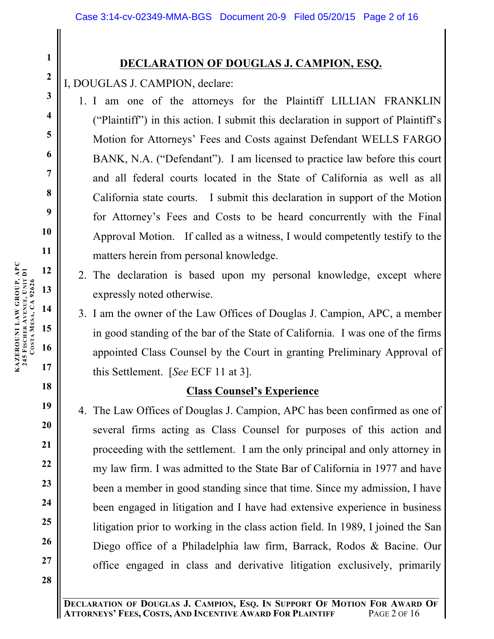# **DECLARATION OF DOUGLAS J. CAMPION, ESQ.**

# I, DOUGLAS J. CAMPION, declare:

- 1. I am one of the attorneys for the Plaintiff LILLIAN FRANKLIN ("Plaintiff") in this action. I submit this declaration in support of Plaintiff's Motion for Attorneys' Fees and Costs against Defendant WELLS FARGO BANK, N.A. ("Defendant"). I am licensed to practice law before this court and all federal courts located in the State of California as well as all California state courts. I submit this declaration in support of the Motion for Attorney's Fees and Costs to be heard concurrently with the Final Approval Motion. If called as a witness, I would competently testify to the matters herein from personal knowledge.
- 2. The declaration is based upon my personal knowledge, except where expressly noted otherwise.
- 3. I am the owner of the Law Offices of Douglas J. Campion, APC, a member in good standing of the bar of the State of California. I was one of the firms appointed Class Counsel by the Court in granting Preliminary Approval of this Settlement. [*See* ECF 11 at 3].

**Class Counsel's Experience**

**1**

**2**

**3**

**4**

**5**

**6**

**7**

**8**

**9**

**10**

**11**

**12**

4. The Law Offices of Douglas J. Campion, APC has been confirmed as one of several firms acting as Class Counsel for purposes of this action and proceeding with the settlement. I am the only principal and only attorney in my law firm. I was admitted to the State Bar of California in 1977 and have been a member in good standing since that time. Since my admission, I have been engaged in litigation and I have had extensive experience in business litigation prior to working in the class action field. In 1989, I joined the San Diego office of a Philadelphia law firm, Barrack, Rodos & Bacine. Our office engaged in class and derivative litigation exclusively, primarily

**22 23 24**

**13 14 KAZEROUNI LAW GROUP, APC 245 FISCHER AVENUE, UNIT D1** KAZEROUNI LAW GROUP, APC<br>245 FISCHER AVENUE, UNIT D1<br>COSTA MESA, CA 92626 **MESA, CA 92626**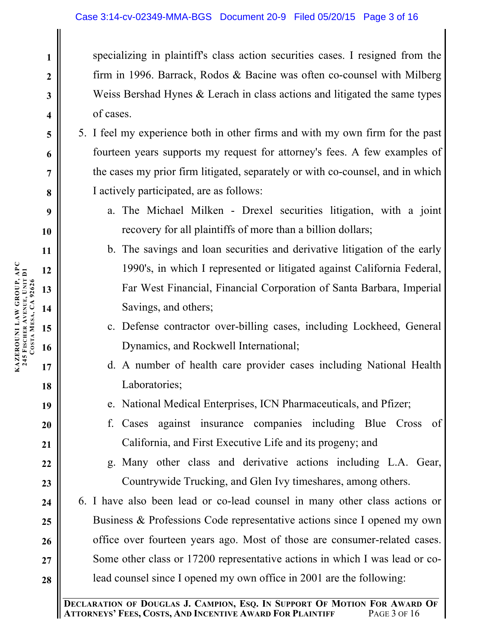specializing in plaintiff's class action securities cases. I resigned from the firm in 1996. Barrack, Rodos & Bacine was often co-counsel with Milberg Weiss Bershad Hynes & Lerach in class actions and litigated the same types of cases.

- 5. I feel my experience both in other firms and with my own firm for the past fourteen years supports my request for attorney's fees. A few examples of the cases my prior firm litigated, separately or with co-counsel, and in which I actively participated, are as follows:
	- a. The Michael Milken Drexel securities litigation, with a joint recovery for all plaintiffs of more than a billion dollars;
	- b. The savings and loan securities and derivative litigation of the early 1990's, in which I represented or litigated against California Federal, Far West Financial, Financial Corporation of Santa Barbara, Imperial Savings, and others;
	- c. Defense contractor over-billing cases, including Lockheed, General Dynamics, and Rockwell International;
	- d. A number of health care provider cases including National Health Laboratories;
	- e. National Medical Enterprises, ICN Pharmaceuticals, and Pfizer;
	- f. Cases against insurance companies including Blue Cross of California, and First Executive Life and its progeny; and
		- g. Many other class and derivative actions including L.A. Gear, Countrywide Trucking, and Glen Ivy timeshares, among others.

6. I have also been lead or co-lead counsel in many other class actions or Business & Professions Code representative actions since I opened my own office over fourteen years ago. Most of those are consumer-related cases. Some other class or 17200 representative actions in which I was lead or colead counsel since I opened my own office in 2001 are the following:

**KAZEROUNI LAW GROUP, APC**

**25**

**26**

**27**

**28**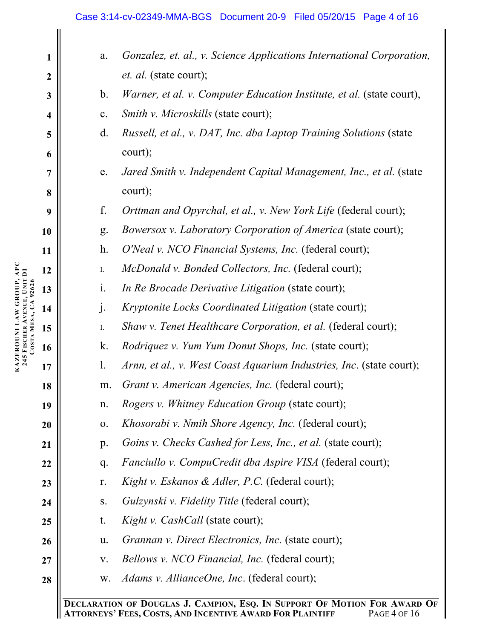#### Case 3:14-cv-02349-MMA-BGS Document 20-9 Filed 05/20/15 Page 4 of 16

| $\mathbf{1}$            | a.             | Gonzalez, et. al., v. Science Applications International Corporation, |
|-------------------------|----------------|-----------------------------------------------------------------------|
| $\boldsymbol{2}$        |                | <i>et. al.</i> (state court);                                         |
| $\mathbf{3}$            | $\mathbf b$ .  | Warner, et al. v. Computer Education Institute, et al. (state court), |
| $\overline{\mathbf{4}}$ | $\mathbf{c}$ . | Smith v. Microskills (state court);                                   |
| 5                       | d.             | Russell, et al., v. DAT, Inc. dba Laptop Training Solutions (state    |
| 6                       |                | court);                                                               |
| $\overline{7}$          | e.             | Jared Smith v. Independent Capital Management, Inc., et al. (state    |
| 8                       |                | court);                                                               |
| 9                       | f.             | Orttman and Opyrchal, et al., v. New York Life (federal court);       |
| 10                      | g.             | Bowersox v. Laboratory Corporation of America (state court);          |
| 11                      | $h$ .          | O'Neal v. NCO Financial Systems, Inc. (federal court);                |
| 12                      | ${\bf I}.$     | <i>McDonald v. Bonded Collectors, Inc.</i> (federal court);           |
| 13                      | $\mathbf{i}$ . | In Re Brocade Derivative Litigation (state court);                    |
| 14                      | $\mathbf{j}$ . | Kryptonite Locks Coordinated Litigation (state court);                |
| 15                      | Ι.             | Shaw v. Tenet Healthcare Corporation, et al. (federal court);         |
| 16                      | k.             | <i>Rodriquez v. Yum Yum Donut Shops, Inc.</i> (state court);          |
| 17                      | $\mathbf{l}$ . | Arnn, et al., v. West Coast Aquarium Industries, Inc. (state court);  |
| 18                      | m.             | Grant v. American Agencies, Inc. (federal court);                     |
| 19                      | n.             | <i>Rogers v. Whitney Education Group</i> (state court);               |
| 20                      | 0.             | <i>Khosorabi v. Nmih Shore Agency, Inc.</i> (federal court);          |
| 21                      | p.             | Goins v. Checks Cashed for Less, Inc., et al. (state court);          |
| 22                      | q.             | <i>Fanciullo v. CompuCredit dba Aspire VISA</i> (federal court);      |
| 23                      | r.             | Kight v. Eskanos & Adler, P.C. (federal court);                       |
| 24                      | ${\bf S}$ .    | <i>Gulzynski v. Fidelity Title</i> (federal court);                   |
| 25                      | t.             | <i>Kight v. CashCall</i> (state court);                               |
| 26                      | u.             | <i>Grannan v. Direct Electronics, Inc.</i> (state court);             |
| 27                      | V.             | <i>Bellows v. NCO Financial, Inc.</i> (federal court);                |
| 28                      | W.             | <i>Adams v. AllianceOne, Inc.</i> (federal court);                    |
|                         |                | TION OF DOUCLAS I CAMPION ESO IN SUPPORT OF MOTION FOR AWARD OF       |

**DECLARATION OF DOUGLAS J. CAMPION, ESQ. IN SUPPORT OF MOTION FOR AWARD OF ATTORNEYS' FEES, COSTS, AND INCENTIVE AWARD FOR PLAINTIFF**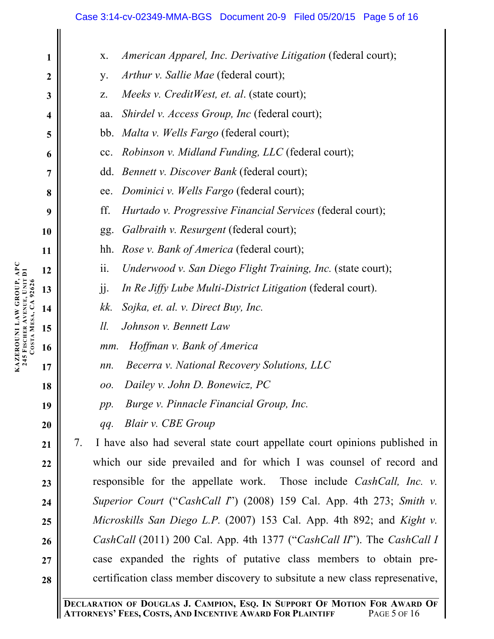#### Case 3:14-cv-02349-MMA-BGS Document 20-9 Filed 05/20/15 Page 5 of 16

| 1                       | American Apparel, Inc. Derivative Litigation (federal court);<br>X.                           |
|-------------------------|-----------------------------------------------------------------------------------------------|
| $\boldsymbol{2}$        | Arthur v. Sallie Mae (federal court);<br>y.                                                   |
| $\mathbf{3}$            | Meeks v. CreditWest, et. al. (state court);<br>Z.                                             |
| $\overline{\mathbf{4}}$ | Shirdel v. Access Group, Inc (federal court);<br>aa.                                          |
| 5                       | bb. <i>Malta v. Wells Fargo</i> (federal court);                                              |
| 6                       | cc. Robinson v. Midland Funding, LLC (federal court);                                         |
| $\overline{7}$          | dd. Bennett v. Discover Bank (federal court);                                                 |
| 8                       | Dominici v. Wells Fargo (federal court);<br>ee.                                               |
| 9                       | ff.<br>Hurtado v. Progressive Financial Services (federal court);                             |
| 10                      | Galbraith v. Resurgent (federal court);<br>gg.                                                |
| 11                      | <i>Rose v. Bank of America</i> (federal court);<br>hh.                                        |
| 12                      | ii.<br>Underwood v. San Diego Flight Training, Inc. (state court);                            |
| 13                      | In Re Jiffy Lube Multi-District Litigation (federal court).<br>jj.                            |
| 14                      | Sojka, et. al. v. Direct Buy, Inc.<br>kk.                                                     |
| 15                      | $ll$ .<br>Johnson v. Bennett Law                                                              |
| 16                      | Hoffman v. Bank of America<br>mm.                                                             |
| 17                      | Becerra v. National Recovery Solutions, LLC<br>nn.                                            |
| 18                      | Dailey v. John D. Bonewicz, PC<br>00.                                                         |
| 19                      | Burge v. Pinnacle Financial Group, Inc.<br>pp.                                                |
| 20                      | <b>Blair v. CBE Group</b><br>qq.                                                              |
| 21                      | I have also had several state court appellate court opinions published in<br>7.               |
| 22                      | which our side prevailed and for which I was counsel of record and                            |
| 23                      | responsible for the appellate work. Those include <i>CashCall</i> , <i>Inc.</i> v.            |
| 24                      | Superior Court ("CashCall $\Gamma$ ") (2008) 159 Cal. App. 4th 273; Smith v.                  |
| 25                      | Microskills San Diego L.P. (2007) 153 Cal. App. 4th 892; and Kight v.                         |
| 26                      | <i>CashCall</i> (2011) 200 Cal. App. 4th 1377 (" <i>CashCall II</i> "). The <i>CashCall I</i> |
| 27                      | case expanded the rights of putative class members to obtain pre-                             |
| 28                      | certification class member discovery to subsitute a new class represenative,                  |
|                         |                                                                                               |

**DECLARATION OF DOUGLAS J. CAMPION, ESQ. IN SUPPORT OF MOTION FOR AWARD OF ATTORNEYS' FEES, COSTS, AND INCENTIVE AWARD FOR PLAINTIFF** PAGE 5 OF 16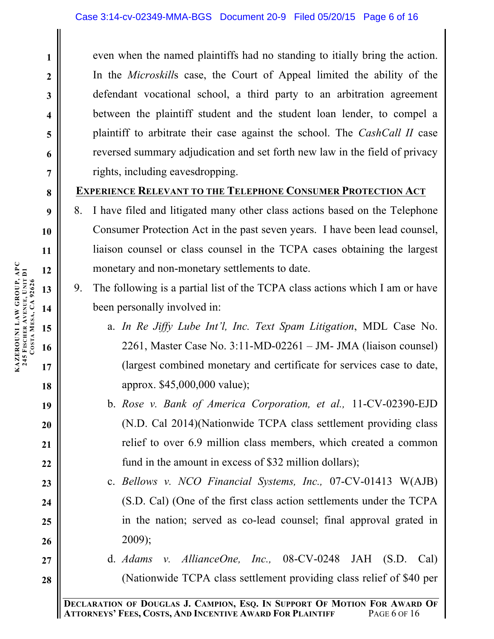even when the named plaintiffs had no standing to itially bring the action. In the *Microskill*s case, the Court of Appeal limited the ability of the defendant vocational school, a third party to an arbitration agreement between the plaintiff student and the student loan lender, to compel a plaintiff to arbitrate their case against the school. The *CashCall II* case reversed summary adjudication and set forth new law in the field of privacy rights, including eavesdropping.

### **EXPERIENCE RELEVANT TO THE TELEPHONE CONSUMER PROTECTION ACT**

- 8. I have filed and litigated many other class actions based on the Telephone Consumer Protection Act in the past seven years. I have been lead counsel, liaison counsel or class counsel in the TCPA cases obtaining the largest monetary and non-monetary settlements to date.
- 9. The following is a partial list of the TCPA class actions which I am or have been personally involved in:
	- a. *In Re Jiffy Lube Int'l, Inc. Text Spam Litigation*, MDL Case No. 2261, Master Case No. 3:11-MD-02261 – JM- JMA (liaison counsel) (largest combined monetary and certificate for services case to date, approx. \$45,000,000 value);
	- b. *Rose v. Bank of America Corporation, et al.,* 11-CV-02390-EJD (N.D. Cal 2014)(Nationwide TCPA class settlement providing class relief to over 6.9 million class members, which created a common fund in the amount in excess of \$32 million dollars);
	- c. *Bellows v. NCO Financial Systems, Inc.,* 07-CV-01413 W(AJB) (S.D. Cal) (One of the first class action settlements under the TCPA in the nation; served as co-lead counsel; final approval grated in 2009);
	- d. *Adams v. AllianceOne, Inc.,* 08-CV-0248 JAH (S.D. Cal) (Nationwide TCPA class settlement providing class relief of \$40 per

**1**

**2**

**3**

**4**

**5**

**6**

**7**

**8**

**9**

**10**

**11**

**18**

**19**

**20**

**21**

**22**

**23**

**24**

**25**

**26**

**27**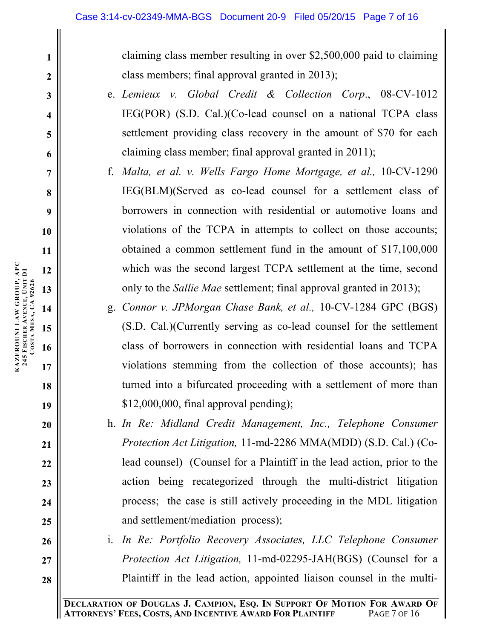claiming class member resulting in over \$2,500,000 paid to claiming class members; final approval granted in 2013);

- e. *Lemieux v. Global Credit & Collection Corp*., 08-CV-1012 IEG(POR) (S.D. Cal.)(Co-lead counsel on a national TCPA class settlement providing class recovery in the amount of \$70 for each claiming class member; final approval granted in 2011);
- f. *Malta, et al. v. Wells Fargo Home Mortgage, et al.,* 10-CV-1290 IEG(BLM)(Served as co-lead counsel for a settlement class of borrowers in connection with residential or automotive loans and violations of the TCPA in attempts to collect on those accounts; obtained a common settlement fund in the amount of \$17,100,000 which was the second largest TCPA settlement at the time, second only to the *Sallie Mae* settlement; final approval granted in 2013);
- g. *Connor v. JPMorgan Chase Bank, et al.,* 10-CV-1284 GPC (BGS) (S.D. Cal.)(Currently serving as co-lead counsel for the settlement class of borrowers in connection with residential loans and TCPA violations stemming from the collection of those accounts); has turned into a bifurcated proceeding with a settlement of more than \$12,000,000, final approval pending);
- h. *In Re: Midland Credit Management, Inc., Telephone Consumer Protection Act Litigation,* 11-md-2286 MMA(MDD) (S.D. Cal.) (Colead counsel) (Counsel for a Plaintiff in the lead action, prior to the action being recategorized through the multi-district litigation process; the case is still actively proceeding in the MDL litigation and settlement/mediation process);
- i. *In Re: Portfolio Recovery Associates, LLC Telephone Consumer Protection Act Litigation,* 11-md-02295-JAH(BGS) (Counsel for a Plaintiff in the lead action, appointed liaison counsel in the multi-

**18**

**19**

**20**

**21**

**22**

**23**

**24**

**25**

**26**

**27**

**28**

**1**

**2**

**3**

**4**

**5**

**6**

**7**

**8**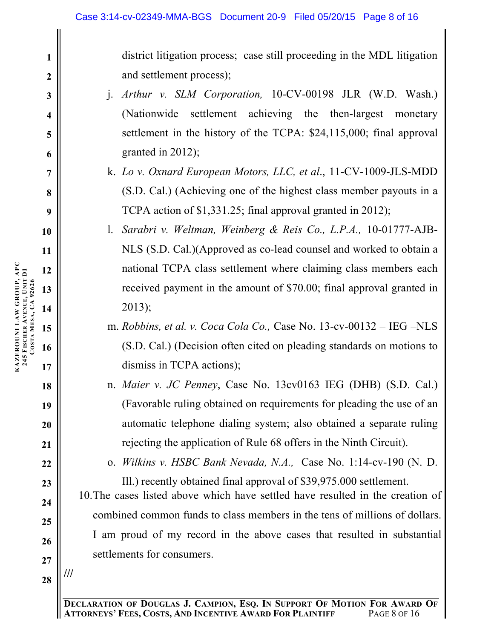district litigation process; case still proceeding in the MDL litigation and settlement process);

- j. *Arthur v. SLM Corporation,* 10-CV-00198 JLR (W.D. Wash.) (Nationwide settlement achieving the then-largest monetary settlement in the history of the TCPA: \$24,115,000; final approval granted in 2012);
- k. *Lo v. Oxnard European Motors, LLC, et al*., 11-CV-1009-JLS-MDD (S.D. Cal.) (Achieving one of the highest class member payouts in a TCPA action of \$1,331.25; final approval granted in 2012);
- l. *Sarabri v. Weltman, Weinberg & Reis Co., L.P.A.,* 10-01777-AJB-NLS (S.D. Cal.)(Approved as co-lead counsel and worked to obtain a national TCPA class settlement where claiming class members each received payment in the amount of \$70.00; final approval granted in 2013);
- m. *Robbins, et al. v. Coca Cola Co.,* Case No. 13-cv-00132 IEG –NLS (S.D. Cal.) (Decision often cited on pleading standards on motions to dismiss in TCPA actions);
- n. *Maier v. JC Penney*, Case No. 13cv0163 IEG (DHB) (S.D. Cal.) (Favorable ruling obtained on requirements for pleading the use of an automatic telephone dialing system; also obtained a separate ruling rejecting the application of Rule 68 offers in the Ninth Circuit).

o. *Wilkins v. HSBC Bank Nevada, N.A.,* Case No. 1:14-cv-190 (N. D. Ill.) recently obtained final approval of \$39,975.000 settlement.

10.The cases listed above which have settled have resulted in the creation of combined common funds to class members in the tens of millions of dollars. I am proud of my record in the above cases that resulted in substantial settlements for consumers.

**28**

**///**

**1**

**2**

**3**

**4**

**5**

**6**

**7**

**8**

**9**

**10**

**11**

**12**

**13**

**14**

**15**

**17**

**18**

**19**

**20**

**21**

**22**

**23**

**24**

**25**

**26**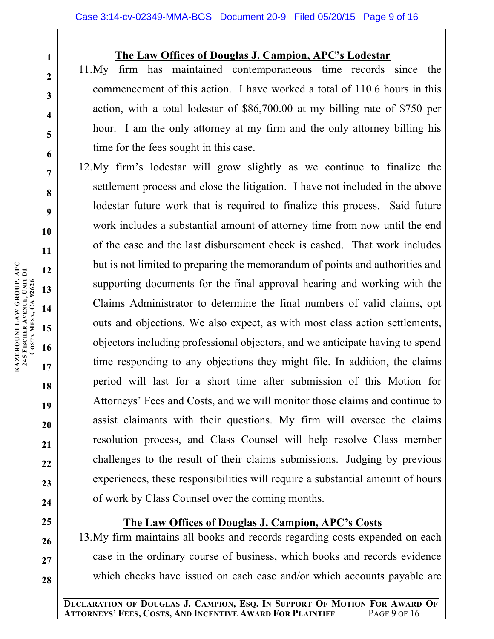#### **The Law Offices of Douglas J. Campion, APC's Lodestar**

11.My firm has maintained contemporaneous time records since the commencement of this action. I have worked a total of 110.6 hours in this action, with a total lodestar of \$86,700.00 at my billing rate of \$750 per hour. I am the only attorney at my firm and the only attorney billing his time for the fees sought in this case.

12.My firm's lodestar will grow slightly as we continue to finalize the settlement process and close the litigation. I have not included in the above lodestar future work that is required to finalize this process. Said future work includes a substantial amount of attorney time from now until the end of the case and the last disbursement check is cashed. That work includes but is not limited to preparing the memorandum of points and authorities and supporting documents for the final approval hearing and working with the Claims Administrator to determine the final numbers of valid claims, opt outs and objections. We also expect, as with most class action settlements, objectors including professional objectors, and we anticipate having to spend time responding to any objections they might file. In addition, the claims period will last for a short time after submission of this Motion for Attorneys' Fees and Costs, and we will monitor those claims and continue to assist claimants with their questions. My firm will oversee the claims resolution process, and Class Counsel will help resolve Class member challenges to the result of their claims submissions. Judging by previous experiences, these responsibilities will require a substantial amount of hours of work by Class Counsel over the coming months.

# **The Law Offices of Douglas J. Campion, APC's Costs**

13.My firm maintains all books and records regarding costs expended on each case in the ordinary course of business, which books and records evidence which checks have issued on each case and/or which accounts payable are

**1**

**2**

**3**

**4**

**5**

**6**

**7**

**8**

**9**

**10**

**11**

**12**

**13**

**14**

**15**

**17**

**18**

**19**

**20**

**21**

**22**

**23**

**24**

**25**

**26**

**27**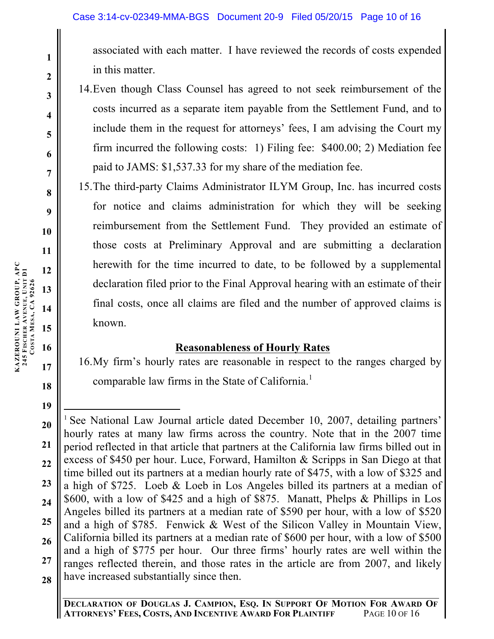associated with each matter. I have reviewed the records of costs expended in this matter.

- 14.Even though Class Counsel has agreed to not seek reimbursement of the costs incurred as a separate item payable from the Settlement Fund, and to include them in the request for attorneys' fees, I am advising the Court my firm incurred the following costs: 1) Filing fee: \$400.00; 2) Mediation fee paid to JAMS: \$1,537.33 for my share of the mediation fee.
- 15.The third-party Claims Administrator ILYM Group, Inc. has incurred costs for notice and claims administration for which they will be seeking reimbursement from the Settlement Fund. They provided an estimate of those costs at Preliminary Approval and are submitting a declaration herewith for the time incurred to date, to be followed by a supplemental declaration filed prior to the Final Approval hearing with an estimate of their final costs, once all claims are filed and the number of approved claims is known.

# **Reasonableness of Hourly Rates**

16.My firm's hourly rates are reasonable in respect to the ranges charged by comparable law firms in the State of California.<sup>1</sup>

**1**

**2**

**3**

**4**

**5**

**6**

**7**

**8**

**9**

**10**

**11**

**18**

**<sup>20</sup> 21 22 23 24 25 26 27 28** <sup>1</sup> See National Law Journal article dated December 10, 2007, detailing partners' hourly rates at many law firms across the country. Note that in the 2007 time period reflected in that article that partners at the California law firms billed out in excess of \$450 per hour. Luce, Forward, Hamilton & Scripps in San Diego at that time billed out its partners at a median hourly rate of \$475, with a low of \$325 and a high of \$725. Loeb & Loeb in Los Angeles billed its partners at a median of \$600, with a low of \$425 and a high of \$875. Manatt, Phelps & Phillips in Los Angeles billed its partners at a median rate of \$590 per hour, with a low of \$520 and a high of \$785. Fenwick & West of the Silicon Valley in Mountain View, California billed its partners at a median rate of \$600 per hour, with a low of \$500 and a high of \$775 per hour. Our three firms' hourly rates are well within the ranges reflected therein, and those rates in the article are from 2007, and likely have increased substantially since then.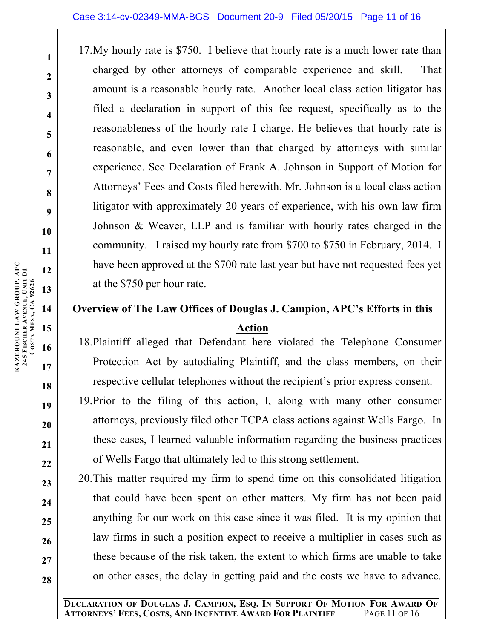17.My hourly rate is \$750. I believe that hourly rate is a much lower rate than charged by other attorneys of comparable experience and skill. That amount is a reasonable hourly rate. Another local class action litigator has filed a declaration in support of this fee request, specifically as to the reasonableness of the hourly rate I charge. He believes that hourly rate is reasonable, and even lower than that charged by attorneys with similar experience. See Declaration of Frank A. Johnson in Support of Motion for Attorneys' Fees and Costs filed herewith. Mr. Johnson is a local class action litigator with approximately 20 years of experience, with his own law firm Johnson & Weaver, LLP and is familiar with hourly rates charged in the community. I raised my hourly rate from \$700 to \$750 in February, 2014. I have been approved at the \$700 rate last year but have not requested fees yet at the \$750 per hour rate.

# **Overview of The Law Offices of Douglas J. Campion, APC's Efforts in this Action**

- 18.Plaintiff alleged that Defendant here violated the Telephone Consumer Protection Act by autodialing Plaintiff, and the class members, on their respective cellular telephones without the recipient's prior express consent.
- 19.Prior to the filing of this action, I, along with many other consumer attorneys, previously filed other TCPA class actions against Wells Fargo. In these cases, I learned valuable information regarding the business practices of Wells Fargo that ultimately led to this strong settlement.
- 20.This matter required my firm to spend time on this consolidated litigation that could have been spent on other matters. My firm has not been paid anything for our work on this case since it was filed. It is my opinion that law firms in such a position expect to receive a multiplier in cases such as these because of the risk taken, the extent to which firms are unable to take on other cases, the delay in getting paid and the costs we have to advance.

**DECLARATION OF DOUGLAS J. CAMPION, ESQ. IN SUPPORT OF MOTION FOR AWARD OF ATTORNEYS' FEES, COSTS, AND INCENTIVE AWARD FOR PLAINTIFF** 

**1**

**2**

**3**

**4**

**5**

**6**

**7**

**8**

**9**

**10**

**18**

**19**

**20**

**21**

**22**

**23**

**24**

**25**

**26**

**27**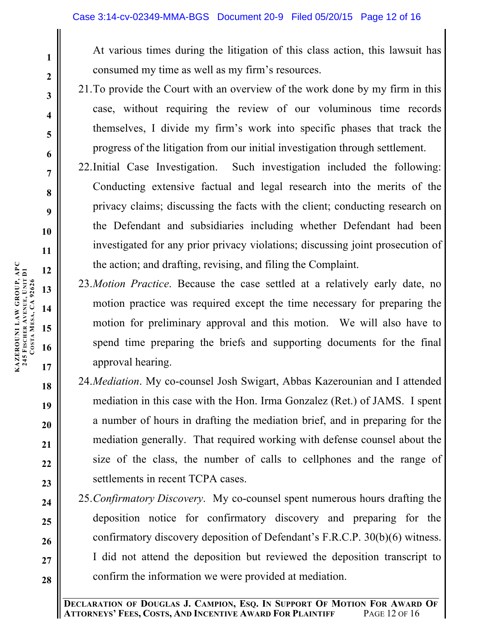At various times during the litigation of this class action, this lawsuit has consumed my time as well as my firm's resources.

- 21.To provide the Court with an overview of the work done by my firm in this case, without requiring the review of our voluminous time records themselves, I divide my firm's work into specific phases that track the progress of the litigation from our initial investigation through settlement.
- 22.Initial Case Investigation. Such investigation included the following: Conducting extensive factual and legal research into the merits of the privacy claims; discussing the facts with the client; conducting research on the Defendant and subsidiaries including whether Defendant had been investigated for any prior privacy violations; discussing joint prosecution of the action; and drafting, revising, and filing the Complaint.
- 23.*Motion Practice*. Because the case settled at a relatively early date, no motion practice was required except the time necessary for preparing the motion for preliminary approval and this motion. We will also have to spend time preparing the briefs and supporting documents for the final approval hearing.
- 24.*Mediation*. My co-counsel Josh Swigart, Abbas Kazerounian and I attended mediation in this case with the Hon. Irma Gonzalez (Ret.) of JAMS. I spent a number of hours in drafting the mediation brief, and in preparing for the mediation generally. That required working with defense counsel about the size of the class, the number of calls to cellphones and the range of settlements in recent TCPA cases.
- 25.*Confirmatory Discovery*. My co-counsel spent numerous hours drafting the deposition notice for confirmatory discovery and preparing for the confirmatory discovery deposition of Defendant's F.R.C.P. 30(b)(6) witness. I did not attend the deposition but reviewed the deposition transcript to confirm the information we were provided at mediation.

**18**

**19**

**20**

**21**

**22**

**23**

**24**

**25**

**26**

**27**

**28**

**1**

**2**

**3**

**4**

**5**

**6**

**7**

**8**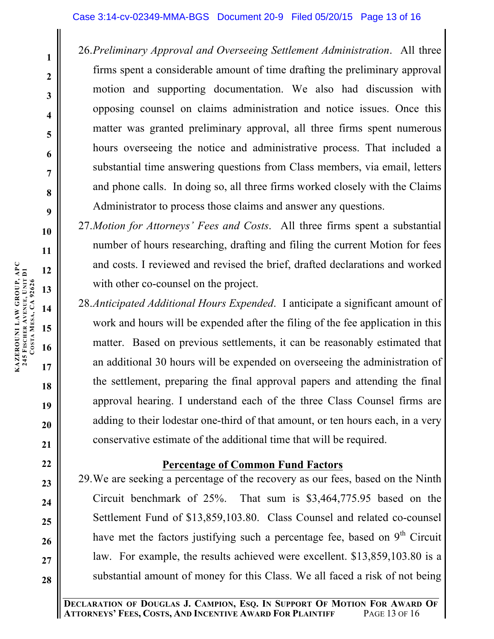26.*Preliminary Approval and Overseeing Settlement Administration*. All three firms spent a considerable amount of time drafting the preliminary approval motion and supporting documentation. We also had discussion with opposing counsel on claims administration and notice issues. Once this matter was granted preliminary approval, all three firms spent numerous hours overseeing the notice and administrative process. That included a substantial time answering questions from Class members, via email, letters and phone calls. In doing so, all three firms worked closely with the Claims Administrator to process those claims and answer any questions.

27.*Motion for Attorneys' Fees and Costs*. All three firms spent a substantial number of hours researching, drafting and filing the current Motion for fees and costs. I reviewed and revised the brief, drafted declarations and worked with other co-counsel on the project.

28.*Anticipated Additional Hours Expended*. I anticipate a significant amount of work and hours will be expended after the filing of the fee application in this matter. Based on previous settlements, it can be reasonably estimated that an additional 30 hours will be expended on overseeing the administration of the settlement, preparing the final approval papers and attending the final approval hearing. I understand each of the three Class Counsel firms are adding to their lodestar one-third of that amount, or ten hours each, in a very conservative estimate of the additional time that will be required.

### **Percentage of Common Fund Factors**

29.We are seeking a percentage of the recovery as our fees, based on the Ninth Circuit benchmark of 25%. That sum is \$3,464,775.95 based on the Settlement Fund of \$13,859,103.80. Class Counsel and related co-counsel have met the factors justifying such a percentage fee, based on  $9<sup>th</sup>$  Circuit law. For example, the results achieved were excellent. \$13,859,103.80 is a substantial amount of money for this Class. We all faced a risk of not being

**1**

**2**

**3**

**4**

**5**

**6**

**7**

**8**

**9**

**10**

**11**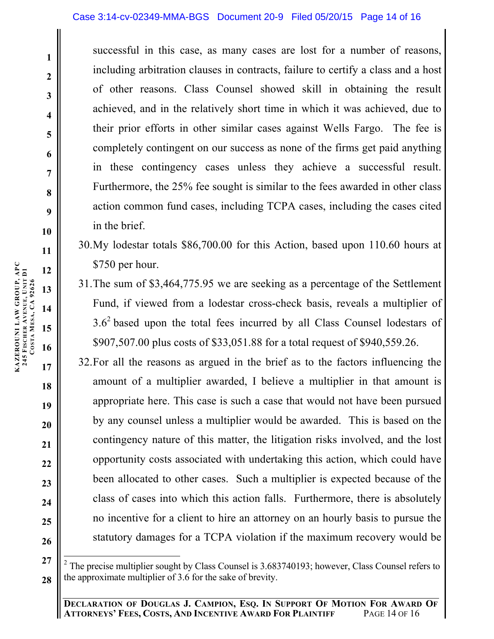successful in this case, as many cases are lost for a number of reasons, including arbitration clauses in contracts, failure to certify a class and a host of other reasons. Class Counsel showed skill in obtaining the result achieved, and in the relatively short time in which it was achieved, due to their prior efforts in other similar cases against Wells Fargo. The fee is completely contingent on our success as none of the firms get paid anything in these contingency cases unless they achieve a successful result. Furthermore, the 25% fee sought is similar to the fees awarded in other class action common fund cases, including TCPA cases, including the cases cited in the brief.

- 30.My lodestar totals \$86,700.00 for this Action, based upon 110.60 hours at \$750 per hour.
- 31.The sum of \$3,464,775.95 we are seeking as a percentage of the Settlement Fund, if viewed from a lodestar cross-check basis, reveals a multiplier of  $3.6<sup>2</sup>$  based upon the total fees incurred by all Class Counsel lodestars of \$907,507.00 plus costs of \$33,051.88 for a total request of \$940,559.26.
- 32.For all the reasons as argued in the brief as to the factors influencing the amount of a multiplier awarded, I believe a multiplier in that amount is appropriate here. This case is such a case that would not have been pursued by any counsel unless a multiplier would be awarded. This is based on the contingency nature of this matter, the litigation risks involved, and the lost opportunity costs associated with undertaking this action, which could have been allocated to other cases. Such a multiplier is expected because of the class of cases into which this action falls. Furthermore, there is absolutely no incentive for a client to hire an attorney on an hourly basis to pursue the statutory damages for a TCPA violation if the maximum recovery would be

**1**

**2**

**3**

**4**

**5**

**6**

**7**

**8**

**9**

**10**

**11**

**12**

**13**

**14**

**15**

**17**

**18**

**19**

**20**

**21**

**22**

**23**

**24**

**25**

**<sup>27</sup> 28** <sup>2</sup> The precise multiplier sought by Class Counsel is 3.683740193; however, Class Counsel refers to the approximate multiplier of 3.6 for the sake of brevity.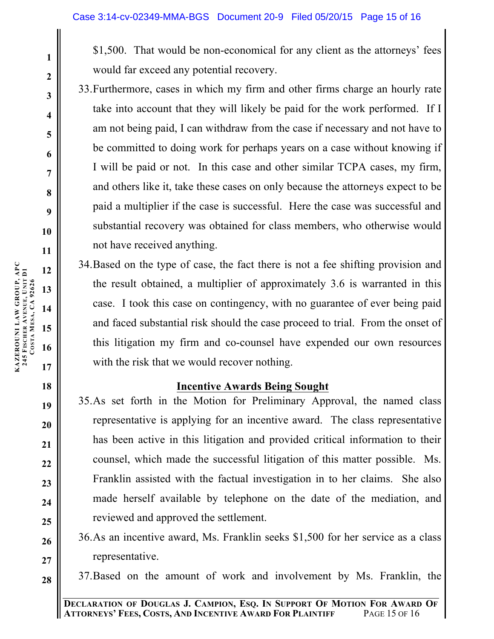\$1,500. That would be non-economical for any client as the attorneys' fees would far exceed any potential recovery.

- 33.Furthermore, cases in which my firm and other firms charge an hourly rate take into account that they will likely be paid for the work performed. If I am not being paid, I can withdraw from the case if necessary and not have to be committed to doing work for perhaps years on a case without knowing if I will be paid or not. In this case and other similar TCPA cases, my firm, and others like it, take these cases on only because the attorneys expect to be paid a multiplier if the case is successful. Here the case was successful and substantial recovery was obtained for class members, who otherwise would not have received anything.
- 34.Based on the type of case, the fact there is not a fee shifting provision and the result obtained, a multiplier of approximately 3.6 is warranted in this case. I took this case on contingency, with no guarantee of ever being paid and faced substantial risk should the case proceed to trial. From the onset of this litigation my firm and co-counsel have expended our own resources with the risk that we would recover nothing.

### **Incentive Awards Being Sought**

- 35.As set forth in the Motion for Preliminary Approval, the named class representative is applying for an incentive award. The class representative has been active in this litigation and provided critical information to their counsel, which made the successful litigation of this matter possible. Ms. Franklin assisted with the factual investigation in to her claims. She also made herself available by telephone on the date of the mediation, and reviewed and approved the settlement.
- 36.As an incentive award, Ms. Franklin seeks \$1,500 for her service as a class representative.
- 37.Based on the amount of work and involvement by Ms. Franklin, the

**KAZEROUNI LAW GROUP, APC**

**245 FISCHER** 

**AVENUE, UNIT D1**

**KAZEROUNI LAW GROUP, APC<br>245 FISCHER AVENUE, UNIT D1<br>COSTA MESA, CA 92626 MESA, CA 92626**